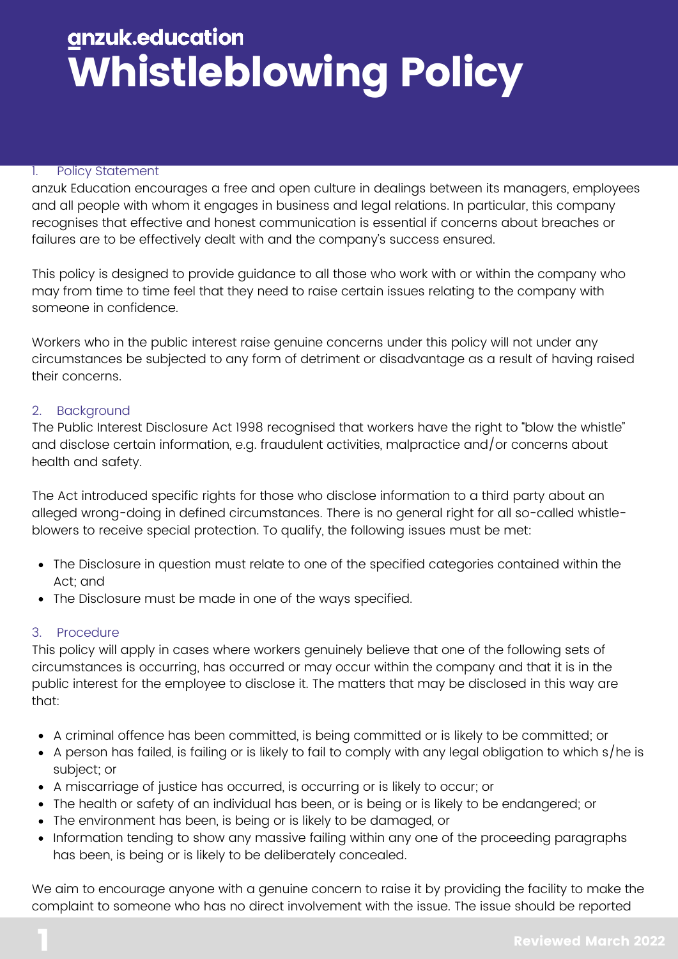## gnzuk.education Whistleblowing Policy

#### 1. Policy Statement

anzuk Education encourages a free and open culture in dealings between its managers, employees and all people with whom it engages in business and legal relations. In particular, this company recognises that effective and honest communication is essential if concerns about breaches or failures are to be effectively dealt with and the company's success ensured.

This policy is designed to provide guidance to all those who work with or within the company who may from time to time feel that they need to raise certain issues relating to the company with someone in confidence.

Workers who in the public interest raise genuine concerns under this policy will not under any circumstances be subjected to any form of detriment or disadvantage as a result of having raised their concerns.

### 2. Background

The Public Interest Disclosure Act 1998 recognised that workers have the right to "blow the whistle" and disclose certain information, e.g. fraudulent activities, malpractice and/or concerns about health and safety.

The Act introduced specific rights for those who disclose information to a third party about an alleged wrong-doing in defined circumstances. There is no general right for all so-called whistleblowers to receive special protection. To qualify, the following issues must be met:

- The Disclosure in question must relate to one of the specified categories contained within the Act; and
- The Disclosure must be made in one of the ways specified.

### 3. Procedure

This policy will apply in cases where workers genuinely believe that one of the following sets of circumstances is occurring, has occurred or may occur within the company and that it is in the public interest for the employee to disclose it. The matters that may be disclosed in this way are that:

- A criminal offence has been committed, is being committed or is likely to be committed; or
- $\bullet$  A person has failed, is failing or is likely to fail to comply with any legal obligation to which s/he is subject; or
- A miscarriage of justice has occurred, is occurring or is likely to occur; or
- The health or safety of an individual has been, or is being or is likely to be endangered; or
- The environment has been, is being or is likely to be damaged, or
- Information tending to show any massive failing within any one of the proceeding paragraphs has been, is being or is likely to be deliberately concealed.

We aim to encourage anyone with a genuine concern to raise it by providing the facility to make the complaint to someone who has no direct involvement with the issue. The issue should be reported